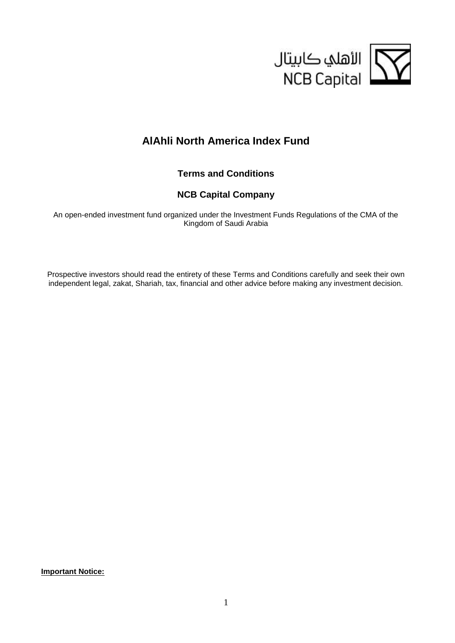

# **AlAhli North America Index Fund**

**Terms and Conditions**

# **NCB Capital Company**

An open-ended investment fund organized under the Investment Funds Regulations of the CMA of the Kingdom of Saudi Arabia

Prospective investors should read the entirety of these Terms and Conditions carefully and seek their own independent legal, zakat, Shariah, tax, financial and other advice before making any investment decision.

**Important Notice:**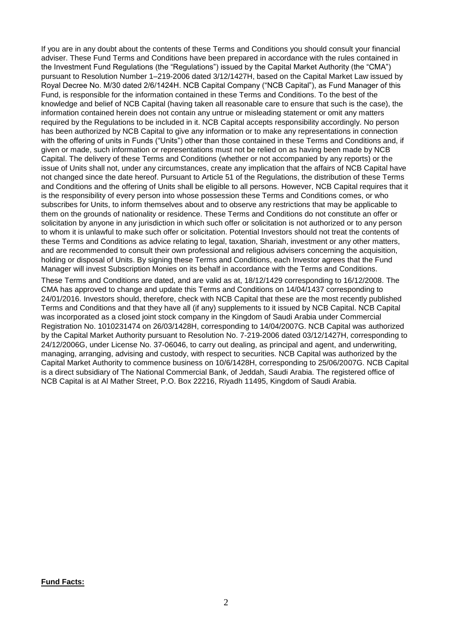If you are in any doubt about the contents of these Terms and Conditions you should consult your financial adviser. These Fund Terms and Conditions have been prepared in accordance with the rules contained in the Investment Fund Regulations (the "Regulations") issued by the Capital Market Authority (the "CMA") pursuant to Resolution Number 1–219-2006 dated 3/12/1427H, based on the Capital Market Law issued by Royal Decree No. M/30 dated 2/6/1424H. NCB Capital Company ("NCB Capital"), as Fund Manager of this Fund, is responsible for the information contained in these Terms and Conditions. To the best of the knowledge and belief of NCB Capital (having taken all reasonable care to ensure that such is the case), the information contained herein does not contain any untrue or misleading statement or omit any matters required by the Regulations to be included in it. NCB Capital accepts responsibility accordingly. No person has been authorized by NCB Capital to give any information or to make any representations in connection with the offering of units in Funds ("Units") other than those contained in these Terms and Conditions and, if given or made, such information or representations must not be relied on as having been made by NCB Capital. The delivery of these Terms and Conditions (whether or not accompanied by any reports) or the issue of Units shall not, under any circumstances, create any implication that the affairs of NCB Capital have not changed since the date hereof. Pursuant to Article 51 of the Regulations, the distribution of these Terms and Conditions and the offering of Units shall be eligible to all persons. However, NCB Capital requires that it is the responsibility of every person into whose possession these Terms and Conditions comes, or who subscribes for Units, to inform themselves about and to observe any restrictions that may be applicable to them on the grounds of nationality or residence. These Terms and Conditions do not constitute an offer or solicitation by anyone in any jurisdiction in which such offer or solicitation is not authorized or to any person to whom it is unlawful to make such offer or solicitation. Potential Investors should not treat the contents of these Terms and Conditions as advice relating to legal, taxation, Shariah, investment or any other matters, and are recommended to consult their own professional and religious advisers concerning the acquisition, holding or disposal of Units. By signing these Terms and Conditions, each Investor agrees that the Fund Manager will invest Subscription Monies on its behalf in accordance with the Terms and Conditions.

These Terms and Conditions are dated, and are valid as at, 18/12/1429 corresponding to 16/12/2008. The CMA has approved to change and update this Terms and Conditions on 14/04/1437 corresponding to 24/01/2016. Investors should, therefore, check with NCB Capital that these are the most recently published Terms and Conditions and that they have all (if any) supplements to it issued by NCB Capital. NCB Capital was incorporated as a closed joint stock company in the Kingdom of Saudi Arabia under Commercial Registration No. 1010231474 on 26/03/1428H, corresponding to 14/04/2007G. NCB Capital was authorized by the Capital Market Authority pursuant to Resolution No. 7-219-2006 dated 03/12/1427H, corresponding to 24/12/2006G, under License No. 37-06046, to carry out dealing, as principal and agent, and underwriting, managing, arranging, advising and custody, with respect to securities. NCB Capital was authorized by the Capital Market Authority to commence business on 10/6/1428H, corresponding to 25/06/2007G. NCB Capital is a direct subsidiary of The National Commercial Bank, of Jeddah, Saudi Arabia. The registered office of NCB Capital is at Al Mather Street, P.O. Box 22216, Riyadh 11495, Kingdom of Saudi Arabia.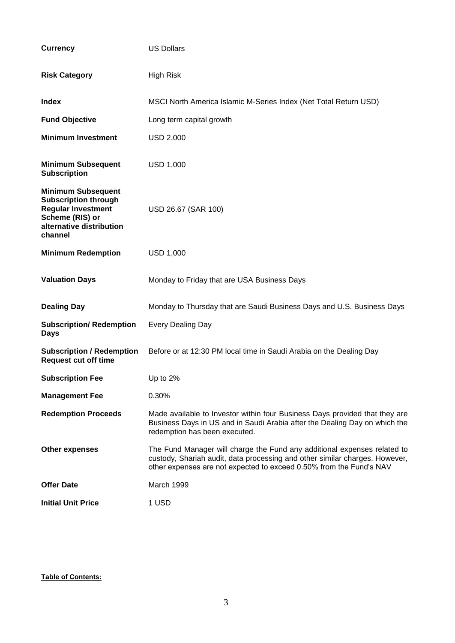| <b>Currency</b>                                                                                                                                 | <b>US Dollars</b>                                                                                                                                                                                                              |  |  |  |  |  |  |  |
|-------------------------------------------------------------------------------------------------------------------------------------------------|--------------------------------------------------------------------------------------------------------------------------------------------------------------------------------------------------------------------------------|--|--|--|--|--|--|--|
| <b>Risk Category</b>                                                                                                                            | <b>High Risk</b>                                                                                                                                                                                                               |  |  |  |  |  |  |  |
| <b>Index</b>                                                                                                                                    | MSCI North America Islamic M-Series Index (Net Total Return USD)                                                                                                                                                               |  |  |  |  |  |  |  |
| <b>Fund Objective</b>                                                                                                                           | Long term capital growth                                                                                                                                                                                                       |  |  |  |  |  |  |  |
| <b>Minimum Investment</b>                                                                                                                       | <b>USD 2,000</b>                                                                                                                                                                                                               |  |  |  |  |  |  |  |
| <b>Minimum Subsequent</b><br><b>Subscription</b>                                                                                                | <b>USD 1,000</b>                                                                                                                                                                                                               |  |  |  |  |  |  |  |
| <b>Minimum Subsequent</b><br><b>Subscription through</b><br><b>Regular Investment</b><br>Scheme (RIS) or<br>alternative distribution<br>channel | USD 26.67 (SAR 100)                                                                                                                                                                                                            |  |  |  |  |  |  |  |
| <b>Minimum Redemption</b>                                                                                                                       | <b>USD 1,000</b>                                                                                                                                                                                                               |  |  |  |  |  |  |  |
| <b>Valuation Days</b>                                                                                                                           | Monday to Friday that are USA Business Days                                                                                                                                                                                    |  |  |  |  |  |  |  |
| <b>Dealing Day</b>                                                                                                                              | Monday to Thursday that are Saudi Business Days and U.S. Business Days                                                                                                                                                         |  |  |  |  |  |  |  |
| <b>Subscription/ Redemption</b><br><b>Days</b>                                                                                                  | <b>Every Dealing Day</b>                                                                                                                                                                                                       |  |  |  |  |  |  |  |
| <b>Subscription / Redemption</b><br><b>Request cut off time</b>                                                                                 | Before or at 12:30 PM local time in Saudi Arabia on the Dealing Day                                                                                                                                                            |  |  |  |  |  |  |  |
| <b>Subscription Fee</b>                                                                                                                         | Up to $2%$                                                                                                                                                                                                                     |  |  |  |  |  |  |  |
| <b>Management Fee</b>                                                                                                                           | 0.30%                                                                                                                                                                                                                          |  |  |  |  |  |  |  |
| <b>Redemption Proceeds</b>                                                                                                                      | Made available to Investor within four Business Days provided that they are<br>Business Days in US and in Saudi Arabia after the Dealing Day on which the<br>redemption has been executed.                                     |  |  |  |  |  |  |  |
| <b>Other expenses</b>                                                                                                                           | The Fund Manager will charge the Fund any additional expenses related to<br>custody, Shariah audit, data processing and other similar charges. However,<br>other expenses are not expected to exceed 0.50% from the Fund's NAV |  |  |  |  |  |  |  |
| <b>Offer Date</b>                                                                                                                               | March 1999                                                                                                                                                                                                                     |  |  |  |  |  |  |  |
| <b>Initial Unit Price</b>                                                                                                                       | 1 USD                                                                                                                                                                                                                          |  |  |  |  |  |  |  |

## **Table of Contents:**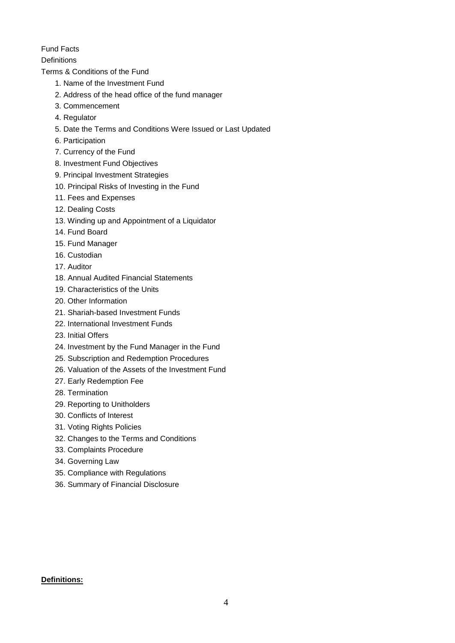Fund Facts

**Definitions** 

Terms & Conditions of the Fund

- 1. Name of the Investment Fund
- 2. Address of the head office of the fund manager
- 3. Commencement
- 4. Regulator
- 5. Date the Terms and Conditions Were Issued or Last Updated
- 6. Participation
- 7. Currency of the Fund
- 8. Investment Fund Objectives
- 9. Principal Investment Strategies
- 10. Principal Risks of Investing in the Fund
- 11. Fees and Expenses
- 12. Dealing Costs
- 13. Winding up and Appointment of a Liquidator
- 14. Fund Board
- 15. Fund Manager
- 16. Custodian
- 17. Auditor
- 18. Annual Audited Financial Statements
- 19. Characteristics of the Units
- 20. Other Information
- 21. Shariah-based Investment Funds
- 22. International Investment Funds
- 23. Initial Offers
- 24. Investment by the Fund Manager in the Fund
- 25. Subscription and Redemption Procedures
- 26. Valuation of the Assets of the Investment Fund
- 27. Early Redemption Fee
- 28. Termination
- 29. Reporting to Unitholders
- 30. Conflicts of Interest
- 31. Voting Rights Policies
- 32. Changes to the Terms and Conditions
- 33. Complaints Procedure
- 34. Governing Law
- 35. Compliance with Regulations
- 36. Summary of Financial Disclosure

# **Definitions:**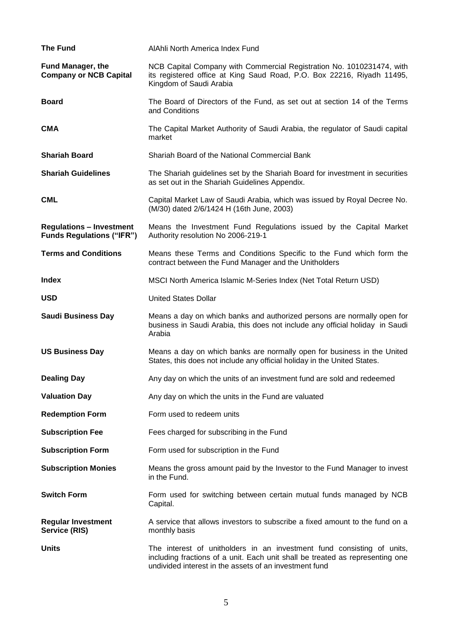| <b>The Fund</b>                                                     | AIAhli North America Index Fund                                                                                                                                            |  |  |  |  |  |  |
|---------------------------------------------------------------------|----------------------------------------------------------------------------------------------------------------------------------------------------------------------------|--|--|--|--|--|--|
| <b>Fund Manager, the</b><br><b>Company or NCB Capital</b>           | NCB Capital Company with Commercial Registration No. 1010231474, with<br>its registered office at King Saud Road, P.O. Box 22216, Riyadh 11495,<br>Kingdom of Saudi Arabia |  |  |  |  |  |  |
| <b>Board</b>                                                        | The Board of Directors of the Fund, as set out at section 14 of the Terms<br>and Conditions                                                                                |  |  |  |  |  |  |
| <b>CMA</b>                                                          | The Capital Market Authority of Saudi Arabia, the regulator of Saudi capital<br>market                                                                                     |  |  |  |  |  |  |
| <b>Shariah Board</b>                                                | Shariah Board of the National Commercial Bank                                                                                                                              |  |  |  |  |  |  |
| <b>Shariah Guidelines</b>                                           | The Shariah guidelines set by the Shariah Board for investment in securities<br>as set out in the Shariah Guidelines Appendix.                                             |  |  |  |  |  |  |
| <b>CML</b>                                                          | Capital Market Law of Saudi Arabia, which was issued by Royal Decree No.<br>(M/30) dated 2/6/1424 H (16th June, 2003)                                                      |  |  |  |  |  |  |
| <b>Regulations - Investment</b><br><b>Funds Regulations ("IFR")</b> | Means the Investment Fund Regulations issued by the Capital Market<br>Authority resolution No 2006-219-1                                                                   |  |  |  |  |  |  |
| <b>Terms and Conditions</b>                                         | Means these Terms and Conditions Specific to the Fund which form the<br>contract between the Fund Manager and the Unitholders                                              |  |  |  |  |  |  |
| Index                                                               | MSCI North America Islamic M-Series Index (Net Total Return USD)                                                                                                           |  |  |  |  |  |  |
| <b>USD</b>                                                          | <b>United States Dollar</b>                                                                                                                                                |  |  |  |  |  |  |
|                                                                     |                                                                                                                                                                            |  |  |  |  |  |  |
| <b>Saudi Business Day</b>                                           | Means a day on which banks and authorized persons are normally open for<br>business in Saudi Arabia, this does not include any official holiday in Saudi<br>Arabia         |  |  |  |  |  |  |
| <b>US Business Day</b>                                              | Means a day on which banks are normally open for business in the United<br>States, this does not include any official holiday in the United States.                        |  |  |  |  |  |  |
| <b>Dealing Day</b>                                                  | Any day on which the units of an investment fund are sold and redeemed                                                                                                     |  |  |  |  |  |  |
| <b>Valuation Day</b>                                                | Any day on which the units in the Fund are valuated                                                                                                                        |  |  |  |  |  |  |
| <b>Redemption Form</b>                                              | Form used to redeem units                                                                                                                                                  |  |  |  |  |  |  |
| <b>Subscription Fee</b>                                             | Fees charged for subscribing in the Fund                                                                                                                                   |  |  |  |  |  |  |
| <b>Subscription Form</b>                                            | Form used for subscription in the Fund                                                                                                                                     |  |  |  |  |  |  |
| <b>Subscription Monies</b>                                          | Means the gross amount paid by the Investor to the Fund Manager to invest<br>in the Fund.                                                                                  |  |  |  |  |  |  |
| <b>Switch Form</b>                                                  | Form used for switching between certain mutual funds managed by NCB<br>Capital.                                                                                            |  |  |  |  |  |  |
| <b>Regular Investment</b><br>Service (RIS)                          | A service that allows investors to subscribe a fixed amount to the fund on a<br>monthly basis                                                                              |  |  |  |  |  |  |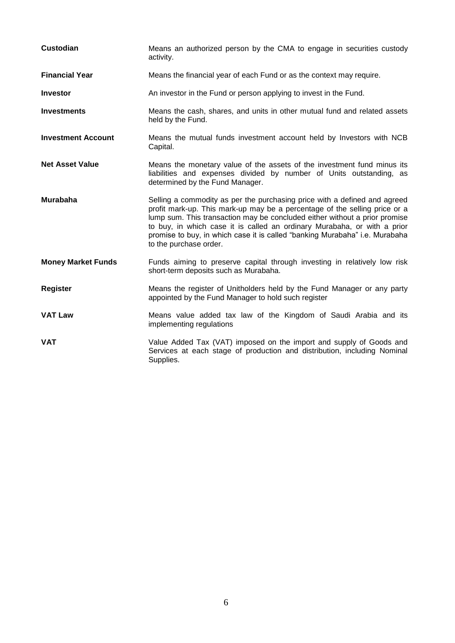| <b>Custodian</b>          | Means an authorized person by the CMA to engage in securities custody<br>activity.                                                                                                                                                                                                                                                                                                                                         |
|---------------------------|----------------------------------------------------------------------------------------------------------------------------------------------------------------------------------------------------------------------------------------------------------------------------------------------------------------------------------------------------------------------------------------------------------------------------|
| <b>Financial Year</b>     | Means the financial year of each Fund or as the context may require.                                                                                                                                                                                                                                                                                                                                                       |
| <b>Investor</b>           | An investor in the Fund or person applying to invest in the Fund.                                                                                                                                                                                                                                                                                                                                                          |
| <b>Investments</b>        | Means the cash, shares, and units in other mutual fund and related assets<br>held by the Fund.                                                                                                                                                                                                                                                                                                                             |
| <b>Investment Account</b> | Means the mutual funds investment account held by Investors with NCB<br>Capital.                                                                                                                                                                                                                                                                                                                                           |
| <b>Net Asset Value</b>    | Means the monetary value of the assets of the investment fund minus its<br>liabilities and expenses divided by number of Units outstanding, as<br>determined by the Fund Manager.                                                                                                                                                                                                                                          |
| <b>Murabaha</b>           | Selling a commodity as per the purchasing price with a defined and agreed<br>profit mark-up. This mark-up may be a percentage of the selling price or a<br>lump sum. This transaction may be concluded either without a prior promise<br>to buy, in which case it is called an ordinary Murabaha, or with a prior<br>promise to buy, in which case it is called "banking Murabaha" i.e. Murabaha<br>to the purchase order. |
| <b>Money Market Funds</b> | Funds aiming to preserve capital through investing in relatively low risk<br>short-term deposits such as Murabaha.                                                                                                                                                                                                                                                                                                         |
| <b>Register</b>           | Means the register of Unitholders held by the Fund Manager or any party<br>appointed by the Fund Manager to hold such register                                                                                                                                                                                                                                                                                             |
| <b>VAT Law</b>            | Means value added tax law of the Kingdom of Saudi Arabia and its<br>implementing regulations                                                                                                                                                                                                                                                                                                                               |
| <b>VAT</b>                | Value Added Tax (VAT) imposed on the import and supply of Goods and<br>Services at each stage of production and distribution, including Nominal<br>Supplies.                                                                                                                                                                                                                                                               |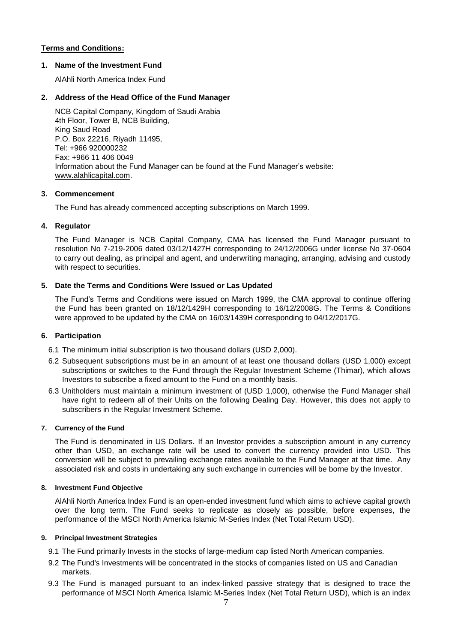## **Terms and Conditions:**

## **1. Name of the Investment Fund**

AlAhli North America Index Fund

## **2. Address of the Head Office of the Fund Manager**

NCB Capital Company, Kingdom of Saudi Arabia 4th Floor, Tower B, NCB Building, King Saud Road P.O. Box 22216, Riyadh 11495, Tel: +966 920000232 Fax: +966 11 406 0049 Information about the Fund Manager can be found at the Fund Manager's website: [www.alahlicapital.com.](http://www.ncbc.com/)

## **3. Commencement**

The Fund has already commenced accepting subscriptions on March 1999.

## **4. Regulator**

The Fund Manager is NCB Capital Company, CMA has licensed the Fund Manager pursuant to resolution No 7-219-2006 dated 03/12/1427H corresponding to 24/12/2006G under license No 37-0604 to carry out dealing, as principal and agent, and underwriting managing, arranging, advising and custody with respect to securities.

# **5. Date the Terms and Conditions Were Issued or Las Updated**

The Fund's Terms and Conditions were issued on March 1999, the CMA approval to continue offering the Fund has been granted on 18/12/1429H corresponding to 16/12/2008G. The Terms & Conditions were approved to be updated by the CMA on 16/03/1439H corresponding to 04/12/2017G.

## **6. Participation**

- 6.1 The minimum initial subscription is two thousand dollars (USD 2,000).
- 6.2 Subsequent subscriptions must be in an amount of at least one thousand dollars (USD 1,000) except subscriptions or switches to the Fund through the Regular Investment Scheme (Thimar), which allows Investors to subscribe a fixed amount to the Fund on a monthly basis.
- 6.3 Unitholders must maintain a minimum investment of (USD 1,000), otherwise the Fund Manager shall have right to redeem all of their Units on the following Dealing Day. However, this does not apply to subscribers in the Regular Investment Scheme.

## **7. Currency of the Fund**

The Fund is denominated in US Dollars. If an Investor provides a subscription amount in any currency other than USD, an exchange rate will be used to convert the currency provided into USD. This conversion will be subject to prevailing exchange rates available to the Fund Manager at that time. Any associated risk and costs in undertaking any such exchange in currencies will be borne by the Investor.

## **8. Investment Fund Objective**

AlAhli North America Index Fund is an open-ended investment fund which aims to achieve capital growth over the long term. The Fund seeks to replicate as closely as possible, before expenses, the performance of the MSCI North America Islamic M-Series Index (Net Total Return USD).

## **9. Principal Investment Strategies**

- 9.1 The Fund primarily Invests in the stocks of large-medium cap listed North American companies.
- 9.2 The Fund's Investments will be concentrated in the stocks of companies listed on US and Canadian markets.
- 9.3 The Fund is managed pursuant to an index-linked passive strategy that is designed to trace the performance of MSCI North America Islamic M-Series Index (Net Total Return USD), which is an index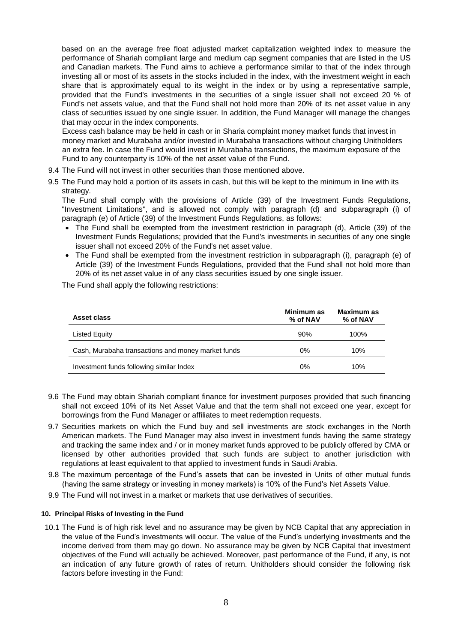based on an the average free float adjusted market capitalization weighted index to measure the performance of Shariah compliant large and medium cap segment companies that are listed in the US and Canadian markets. The Fund aims to achieve a performance similar to that of the index through investing all or most of its assets in the stocks included in the index, with the investment weight in each share that is approximately equal to its weight in the index or by using a representative sample, provided that the Fund's investments in the securities of a single issuer shall not exceed 20 % of Fund's net assets value, and that the Fund shall not hold more than 20% of its net asset value in any class of securities issued by one single issuer. In addition, the Fund Manager will manage the changes that may occur in the index components.

Excess cash balance may be held in cash or in Sharia complaint money market funds that invest in money market and Murabaha and/or invested in Murabaha transactions without charging Unitholders an extra fee. In case the Fund would invest in Murabaha transactions, the maximum exposure of the Fund to any counterparty is 10% of the net asset value of the Fund.

- 9.4 The Fund will not invest in other securities than those mentioned above.
- 9.5 The Fund may hold a portion of its assets in cash, but this will be kept to the minimum in line with its strategy.

The Fund shall comply with the provisions of Article (39) of the Investment Funds Regulations, "Investment Limitations", and is allowed not comply with paragraph (d) and subparagraph (i) of paragraph (e) of Article (39) of the Investment Funds Regulations, as follows:

- The Fund shall be exempted from the investment restriction in paragraph (d), Article (39) of the Investment Funds Regulations; provided that the Fund's investments in securities of any one single issuer shall not exceed 20% of the Fund's net asset value.
- The Fund shall be exempted from the investment restriction in subparagraph (i), paragraph (e) of Article (39) of the Investment Funds Regulations, provided that the Fund shall not hold more than 20% of its net asset value in of any class securities issued by one single issuer.

The Fund shall apply the following restrictions:

| Asset class                                        | Minimum as<br>% of NAV | Maximum as<br>% of NAV |
|----------------------------------------------------|------------------------|------------------------|
| Listed Equity                                      | 90%                    | 100%                   |
| Cash, Murabaha transactions and money market funds | $0\%$                  | 10%                    |
| Investment funds following similar Index           | $0\%$                  | 10%                    |

- 9.6 The Fund may obtain Shariah compliant finance for investment purposes provided that such financing shall not exceed 10% of its Net Asset Value and that the term shall not exceed one year, except for borrowings from the Fund Manager or affiliates to meet redemption requests.
- 9.7 Securities markets on which the Fund buy and sell investments are stock exchanges in the North American markets. The Fund Manager may also invest in investment funds having the same strategy and tracking the same index and / or in money market funds approved to be publicly offered by CMA or licensed by other authorities provided that such funds are subject to another jurisdiction with regulations at least equivalent to that applied to investment funds in Saudi Arabia.
- 9.8 The maximum percentage of the Fund's assets that can be invested in Units of other mutual funds (having the same strategy or investing in money markets) is 10% of the Fund's Net Assets Value.
- 9.9 The Fund will not invest in a market or markets that use derivatives of securities.

#### **10. Principal Risks of Investing in the Fund**

10.1 The Fund is of high risk level and no assurance may be given by NCB Capital that any appreciation in the value of the Fund's investments will occur. The value of the Fund's underlying investments and the income derived from them may go down. No assurance may be given by NCB Capital that investment objectives of the Fund will actually be achieved. Moreover, past performance of the Fund, if any, is not an indication of any future growth of rates of return. Unitholders should consider the following risk factors before investing in the Fund: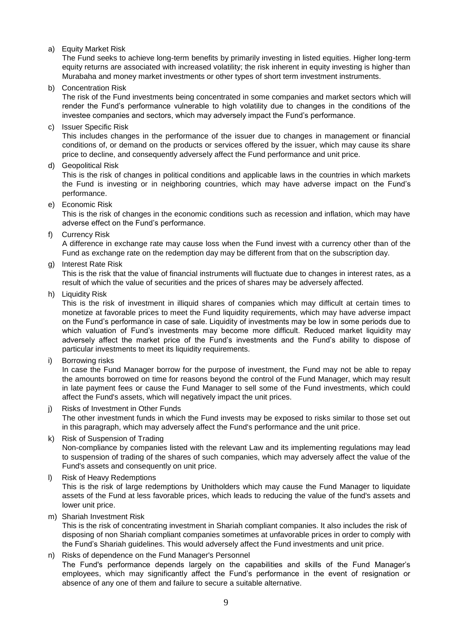a) Equity Market Risk

The Fund seeks to achieve long-term benefits by primarily investing in listed equities. Higher long-term equity returns are associated with increased volatility; the risk inherent in equity investing is higher than Murabaha and money market investments or other types of short term investment instruments.

b) Concentration Risk

The risk of the Fund investments being concentrated in some companies and market sectors which will render the Fund's performance vulnerable to high volatility due to changes in the conditions of the investee companies and sectors, which may adversely impact the Fund's performance.

c) Issuer Specific Risk

This includes changes in the performance of the issuer due to changes in management or financial conditions of, or demand on the products or services offered by the issuer, which may cause its share price to decline, and consequently adversely affect the Fund performance and unit price.

d) Geopolitical Risk

This is the risk of changes in political conditions and applicable laws in the countries in which markets the Fund is investing or in neighboring countries, which may have adverse impact on the Fund's performance.

e) Economic Risk

This is the risk of changes in the economic conditions such as recession and inflation, which may have adverse effect on the Fund's performance.

f) Currency Risk

A difference in exchange rate may cause loss when the Fund invest with a currency other than of the Fund as exchange rate on the redemption day may be different from that on the subscription day.

g) Interest Rate Risk

This is the risk that the value of financial instruments will fluctuate due to changes in interest rates, as a result of which the value of securities and the prices of shares may be adversely affected.

h) Liquidity Risk

This is the risk of investment in illiquid shares of companies which may difficult at certain times to monetize at favorable prices to meet the Fund liquidity requirements, which may have adverse impact on the Fund's performance in case of sale. Liquidity of investments may be low in some periods due to which valuation of Fund's investments may become more difficult. Reduced market liquidity may adversely affect the market price of the Fund's investments and the Fund's ability to dispose of particular investments to meet its liquidity requirements.

i) Borrowing risks

In case the Fund Manager borrow for the purpose of investment, the Fund may not be able to repay the amounts borrowed on time for reasons beyond the control of the Fund Manager, which may result in late payment fees or cause the Fund Manager to sell some of the Fund investments, which could affect the Fund's assets, which will negatively impact the unit prices.

- j) Risks of Investment in Other Funds The other investment funds in which the Fund invests may be exposed to risks similar to those set out in this paragraph, which may adversely affect the Fund's performance and the unit price.
- k) Risk of Suspension of Trading Non-compliance by companies listed with the relevant Law and its implementing regulations may lead to suspension of trading of the shares of such companies, which may adversely affect the value of the Fund's assets and consequently on unit price.
- Risk of Heavy Redemptions

This is the risk of large redemptions by Unitholders which may cause the Fund Manager to liquidate assets of the Fund at less favorable prices, which leads to reducing the value of the fund's assets and lower unit price.

m) Shariah Investment Risk

This is the risk of concentrating investment in Shariah compliant companies. It also includes the risk of disposing of non Shariah compliant companies sometimes at unfavorable prices in order to comply with the Fund's Shariah guidelines. This would adversely affect the Fund investments and unit price.

n) Risks of dependence on the Fund Manager's Personnel

The Fund's performance depends largely on the capabilities and skills of the Fund Manager's employees, which may significantly affect the Fund's performance in the event of resignation or absence of any one of them and failure to secure a suitable alternative.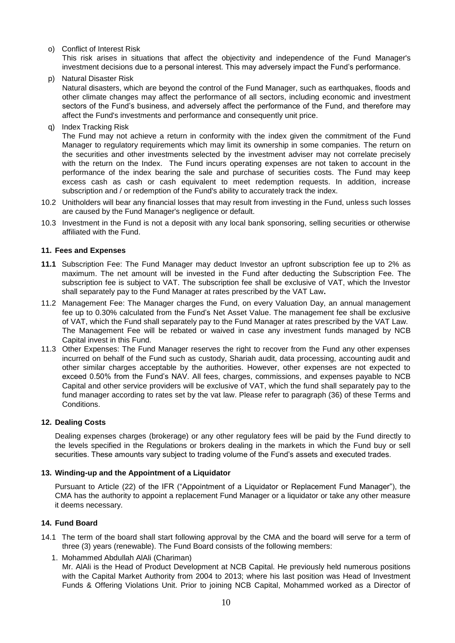## o) Conflict of Interest Risk

This risk arises in situations that affect the objectivity and independence of the Fund Manager's investment decisions due to a personal interest. This may adversely impact the Fund's performance.

p) Natural Disaster Risk

Natural disasters, which are beyond the control of the Fund Manager, such as earthquakes, floods and other climate changes may affect the performance of all sectors, including economic and investment sectors of the Fund's business, and adversely affect the performance of the Fund, and therefore may affect the Fund's investments and performance and consequently unit price.

q) Index Tracking Risk

The Fund may not achieve a return in conformity with the index given the commitment of the Fund Manager to regulatory requirements which may limit its ownership in some companies. The return on the securities and other investments selected by the investment adviser may not correlate precisely with the return on the Index. The Fund incurs operating expenses are not taken to account in the performance of the index bearing the sale and purchase of securities costs. The Fund may keep excess cash as cash or cash equivalent to meet redemption requests. In addition, increase subscription and / or redemption of the Fund's ability to accurately track the index.

- 10.2 Unitholders will bear any financial losses that may result from investing in the Fund, unless such losses are caused by the Fund Manager's negligence or default.
- 10.3 Investment in the Fund is not a deposit with any local bank sponsoring, selling securities or otherwise affiliated with the Fund.

## **11. Fees and Expenses**

- **11.1** Subscription Fee: The Fund Manager may deduct Investor an upfront subscription fee up to 2% as maximum. The net amount will be invested in the Fund after deducting the Subscription Fee. The subscription fee is subject to VAT. The subscription fee shall be exclusive of VAT, which the Investor shall separately pay to the Fund Manager at rates prescribed by the VAT Law**.**
- 11.2 Management Fee: The Manager charges the Fund, on every Valuation Day, an annual management fee up to 0.30% calculated from the Fund's Net Asset Value. The management fee shall be exclusive of VAT, which the Fund shall separately pay to the Fund Manager at rates prescribed by the VAT Law. The Management Fee will be rebated or waived in case any investment funds managed by NCB Capital invest in this Fund.
- 11.3 Other Expenses: The Fund Manager reserves the right to recover from the Fund any other expenses incurred on behalf of the Fund such as custody, Shariah audit, data processing, accounting audit and other similar charges acceptable by the authorities. However, other expenses are not expected to exceed 0.50% from the Fund's NAV. All fees, charges, commissions, and expenses payable to NCB Capital and other service providers will be exclusive of VAT, which the fund shall separately pay to the fund manager according to rates set by the vat law. Please refer to paragraph (36) of these Terms and Conditions.

## **12. Dealing Costs**

Dealing expenses charges (brokerage) or any other regulatory fees will be paid by the Fund directly to the levels specified in the Regulations or brokers dealing in the markets in which the Fund buy or sell securities. These amounts vary subject to trading volume of the Fund's assets and executed trades.

## **13. Winding-up and the Appointment of a Liquidator**

Pursuant to Article (22) of the IFR ("Appointment of a Liquidator or Replacement Fund Manager"), the CMA has the authority to appoint a replacement Fund Manager or a liquidator or take any other measure it deems necessary.

## **14. Fund Board**

- 14.1 The term of the board shall start following approval by the CMA and the board will serve for a term of three (3) years (renewable). The Fund Board consists of the following members:
	- 1. Mohammed Abdullah AlAli (Chariman) Mr. AlAli is the Head of Product Development at NCB Capital. He previously held numerous positions with the Capital Market Authority from 2004 to 2013; where his last position was Head of Investment Funds & Offering Violations Unit. Prior to joining NCB Capital, Mohammed worked as a Director of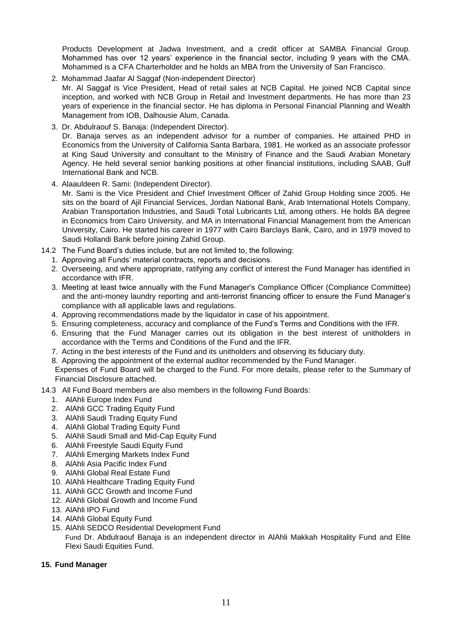Products Development at Jadwa Investment, and a credit officer at SAMBA Financial Group. Mohammed has over 12 years' experience in the financial sector, including 9 years with the CMA. Mohammed is a CFA Charterholder and he holds an MBA from the University of San Francisco.

2. Mohammad Jaafar Al Saggaf (Non-independent Director)

Mr. Al Saggaf is Vice President, Head of retail sales at NCB Capital. He joined NCB Capital since inception, and worked with NCB Group in Retail and Investment departments. He has more than 23 years of experience in the financial sector. He has diploma in Personal Financial Planning and Wealth Management from IOB, Dalhousie Alum, Canada.

3. Dr. Abdulraouf S. Banaja: (Independent Director).

Dr. Banaja serves as an independent advisor for a number of companies. He attained PHD in Economics from the University of California Santa Barbara, 1981. He worked as an associate professor at King Saud University and consultant to the Ministry of Finance and the Saudi Arabian Monetary Agency. He held several senior banking positions at other financial institutions, including SAAB, Gulf International Bank and NCB.

4. Alaauldeen R. Sami: (Independent Director).

Mr. Sami is the Vice President and Chief Investment Officer of Zahid Group Holding since 2005. He sits on the board of Ajil Financial Services, Jordan National Bank, Arab International Hotels Company, Arabian Transportation Industries, and Saudi Total Lubricants Ltd, among others. He holds BA degree in Economics from Cairo University, and MA in International Financial Management from the American University, Cairo. He started his career in 1977 with Cairo Barclays Bank, Cairo, and in 1979 moved to Saudi Hollandi Bank before joining Zahid Group.

- 14.2 The Fund Board's duties include, but are not limited to, the following:
	- 1. Approving all Funds' material contracts, reports and decisions.
	- 2. Overseeing, and where appropriate, ratifying any conflict of interest the Fund Manager has identified in accordance with IFR.
	- 3. Meeting at least twice annually with the Fund Manager's Compliance Officer (Compliance Committee) and the anti-money laundry reporting and anti-terrorist financing officer to ensure the Fund Manager's compliance with all applicable laws and regulations.
	- 4. Approving recommendations made by the liquidator in case of his appointment.
	- 5. Ensuring completeness, accuracy and compliance of the Fund's Terms and Conditions with the IFR.
	- 6. Ensuring that the Fund Manager carries out its obligation in the best interest of unitholders in accordance with the Terms and Conditions of the Fund and the IFR.
	- 7. Acting in the best interests of the Fund and its unitholders and observing its fiduciary duty.
	- 8. Approving the appointment of the external auditor recommended by the Fund Manager.

Expenses of Fund Board will be charged to the Fund. For more details, please refer to the Summary of Financial Disclosure attached.

- 14.3 All Fund Board members are also members in the following Fund Boards:
	- 1. AlAhli Europe Index Fund
	- 2. AlAhli GCC Trading Equity Fund
	- 3. AlAhli Saudi Trading Equity Fund
	- 4. AlAhli Global Trading Equity Fund
	- 5. AlAhli Saudi Small and Mid-Cap Equity Fund
	- 6. AlAhli Freestyle Saudi Equity Fund
	- 7. AlAhli Emerging Markets Index Fund
	- 8. AlAhli Asia Pacific Index Fund
	- 9. AlAhli Global Real Estate Fund
	- 10. AlAhli Healthcare Trading Equity Fund
	- 11. AlAhli GCC Growth and Income Fund
	- 12. AlAhli Global Growth and Income Fund
	- 13. AlAhli IPO Fund
	- 14. AlAhli Global Equity Fund
	- 15. AlAhli SEDCO Residential Development Fund

Fund Dr. Abdulraouf Banaja is an independent director in AlAhli Makkah Hospitality Fund and Elite Flexi Saudi Equities Fund.

## **15. Fund Manager**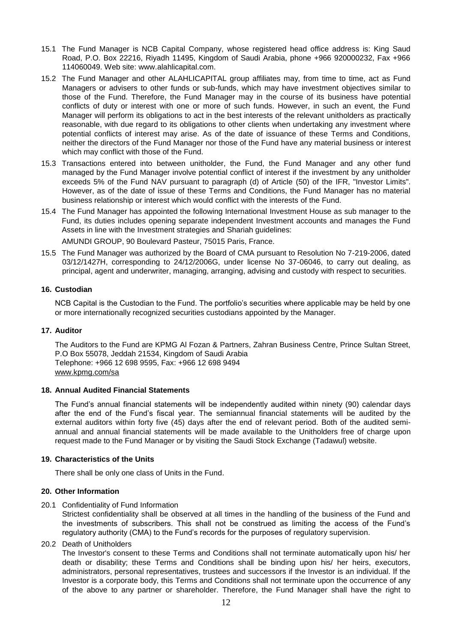- 15.1 The Fund Manager is NCB Capital Company, whose registered head office address is: King Saud Road, P.O. Box 22216, Riyadh 11495, Kingdom of Saudi Arabia, phone +966 920000232, Fax +966 114060049. Web site: www.alahlicapital.com.
- 15.2 The Fund Manager and other ALAHLICAPITAL group affiliates may, from time to time, act as Fund Managers or advisers to other funds or sub-funds, which may have investment objectives similar to those of the Fund. Therefore, the Fund Manager may in the course of its business have potential conflicts of duty or interest with one or more of such funds. However, in such an event, the Fund Manager will perform its obligations to act in the best interests of the relevant unitholders as practically reasonable, with due regard to its obligations to other clients when undertaking any investment where potential conflicts of interest may arise. As of the date of issuance of these Terms and Conditions, neither the directors of the Fund Manager nor those of the Fund have any material business or interest which may conflict with those of the Fund.
- 15.3 Transactions entered into between unitholder, the Fund, the Fund Manager and any other fund managed by the Fund Manager involve potential conflict of interest if the investment by any unitholder exceeds 5% of the Fund NAV pursuant to paragraph (d) of Article (50) of the IFR, "Investor Limits". However, as of the date of issue of these Terms and Conditions, the Fund Manager has no material business relationship or interest which would conflict with the interests of the Fund.
- 15.4 The Fund Manager has appointed the following International Investment House as sub manager to the Fund, its duties includes opening separate independent Investment accounts and manages the Fund Assets in line with the Investment strategies and Shariah guidelines:

AMUNDI GROUP, 90 Boulevard Pasteur, 75015 Paris, France.

15.5 The Fund Manager was authorized by the Board of CMA pursuant to Resolution No 7-219-2006, dated 03/12/1427H, corresponding to 24/12/2006G, under license No 37-06046, to carry out dealing, as principal, agent and underwriter, managing, arranging, advising and custody with respect to securities.

#### **16. Custodian**

NCB Capital is the Custodian to the Fund. The portfolio's securities where applicable may be held by one or more internationally recognized securities custodians appointed by the Manager.

### **17. Auditor**

The Auditors to the Fund are KPMG Al Fozan & Partners, Zahran Business Centre, Prince Sultan Street, P.O Box 55078, Jeddah 21534, Kingdom of Saudi Arabia Telephone: +966 12 698 9595, Fax: +966 12 698 9494 [www.kpmg.com/sa](http://www.kpmg.com/sa)

#### **18. Annual Audited Financial Statements**

The Fund's annual financial statements will be independently audited within ninety (90) calendar days after the end of the Fund's fiscal year. The semiannual financial statements will be audited by the external auditors within forty five (45) days after the end of relevant period. Both of the audited semiannual and annual financial statements will be made available to the Unitholders free of charge upon request made to the Fund Manager or by visiting the Saudi Stock Exchange (Tadawul) website.

#### **19. Characteristics of the Units**

There shall be only one class of Units in the Fund.

#### **20. Other Information**

20.1 Confidentiality of Fund Information

Strictest confidentiality shall be observed at all times in the handling of the business of the Fund and the investments of subscribers. This shall not be construed as limiting the access of the Fund's regulatory authority (CMA) to the Fund's records for the purposes of regulatory supervision.

#### 20.2 Death of Unitholders

The Investor's consent to these Terms and Conditions shall not terminate automatically upon his/ her death or disability; these Terms and Conditions shall be binding upon his/ her heirs, executors, administrators, personal representatives, trustees and successors if the Investor is an individual. If the Investor is a corporate body, this Terms and Conditions shall not terminate upon the occurrence of any of the above to any partner or shareholder. Therefore, the Fund Manager shall have the right to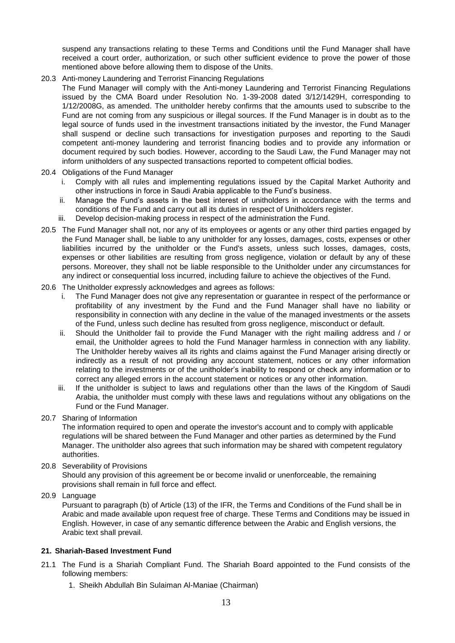suspend any transactions relating to these Terms and Conditions until the Fund Manager shall have received a court order, authorization, or such other sufficient evidence to prove the power of those mentioned above before allowing them to dispose of the Units.

20.3 Anti-money Laundering and Terrorist Financing Regulations

The Fund Manager will comply with the Anti-money Laundering and Terrorist Financing Regulations issued by the CMA Board under Resolution No. 1-39-2008 dated 3/12/1429H, corresponding to 1/12/2008G, as amended. The unitholder hereby confirms that the amounts used to subscribe to the Fund are not coming from any suspicious or illegal sources. If the Fund Manager is in doubt as to the legal source of funds used in the investment transactions initiated by the investor, the Fund Manager shall suspend or decline such transactions for investigation purposes and reporting to the Saudi competent anti-money laundering and terrorist financing bodies and to provide any information or document required by such bodies. However, according to the Saudi Law, the Fund Manager may not inform unitholders of any suspected transactions reported to competent official bodies.

- 20.4 Obligations of the Fund Manager
	- i. Comply with all rules and implementing regulations issued by the Capital Market Authority and other instructions in force in Saudi Arabia applicable to the Fund's business.
	- ii. Manage the Fund's assets in the best interest of unitholders in accordance with the terms and conditions of the Fund and carry out all its duties in respect of Unitholders register.
	- iii. Develop decision-making process in respect of the administration the Fund.
- 20.5 The Fund Manager shall not, nor any of its employees or agents or any other third parties engaged by the Fund Manager shall, be liable to any unitholder for any losses, damages, costs, expenses or other liabilities incurred by the unitholder or the Fund's assets, unless such losses, damages, costs, expenses or other liabilities are resulting from gross negligence, violation or default by any of these persons. Moreover, they shall not be liable responsible to the Unitholder under any circumstances for any indirect or consequential loss incurred, including failure to achieve the objectives of the Fund.

#### 20.6 The Unitholder expressly acknowledges and agrees as follows:

- i. The Fund Manager does not give any representation or guarantee in respect of the performance or profitability of any investment by the Fund and the Fund Manager shall have no liability or responsibility in connection with any decline in the value of the managed investments or the assets of the Fund, unless such decline has resulted from gross negligence, misconduct or default.
- ii. Should the Unitholder fail to provide the Fund Manager with the right mailing address and / or email, the Unitholder agrees to hold the Fund Manager harmless in connection with any liability. The Unitholder hereby waives all its rights and claims against the Fund Manager arising directly or indirectly as a result of not providing any account statement, notices or any other information relating to the investments or of the unitholder's inability to respond or check any information or to correct any alleged errors in the account statement or notices or any other information.
- iii. If the unitholder is subject to laws and regulations other than the laws of the Kingdom of Saudi Arabia, the unitholder must comply with these laws and regulations without any obligations on the Fund or the Fund Manager.
- 20.7 Sharing of Information

The information required to open and operate the investor's account and to comply with applicable regulations will be shared between the Fund Manager and other parties as determined by the Fund Manager. The unitholder also agrees that such information may be shared with competent regulatory authorities.

20.8 Severability of Provisions

Should any provision of this agreement be or become invalid or unenforceable, the remaining provisions shall remain in full force and effect.

20.9 Language

Pursuant to paragraph (b) of Article (13) of the IFR, the Terms and Conditions of the Fund shall be in Arabic and made available upon request free of charge. These Terms and Conditions may be issued in English. However, in case of any semantic difference between the Arabic and English versions, the Arabic text shall prevail.

## **21. Shariah-Based Investment Fund**

- 21.1 The Fund is a Shariah Compliant Fund. The Shariah Board appointed to the Fund consists of the following members:
	- 1. Sheikh Abdullah Bin Sulaiman Al-Maniae (Chairman)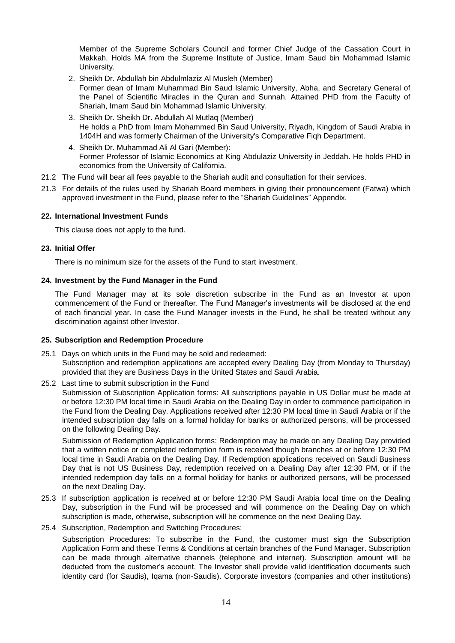Member of the Supreme Scholars Council and former Chief Judge of the Cassation Court in Makkah. Holds MA from the Supreme Institute of Justice, Imam Saud bin Mohammad Islamic University.

- 2. Sheikh Dr. Abdullah bin Abdulmlaziz Al Musleh (Member) Former dean of Imam Muhammad Bin Saud Islamic University, Abha, and Secretary General of the Panel of Scientific Miracles in the Quran and Sunnah. Attained PHD from the Faculty of Shariah, Imam Saud bin Mohammad Islamic University.
- 3. Sheikh Dr. Sheikh Dr. Abdullah Al Mutlaq (Member) He holds a PhD from Imam Mohammed Bin Saud University, Riyadh, Kingdom of Saudi Arabia in 1404H and was formerly Chairman of the University's Comparative Fiqh Department.
- 4. Sheikh Dr. Muhammad Ali Al Gari (Member): Former Professor of Islamic Economics at King Abdulaziz University in Jeddah. He holds PHD in economics from the University of California.
- 21.2 The Fund will bear all fees payable to the Shariah audit and consultation for their services.
- 21.3 For details of the rules used by Shariah Board members in giving their pronouncement (Fatwa) which approved investment in the Fund, please refer to the "Shariah Guidelines" Appendix.

#### **22. International Investment Funds**

This clause does not apply to the fund.

#### **23. Initial Offer**

There is no minimum size for the assets of the Fund to start investment.

#### **24. Investment by the Fund Manager in the Fund**

The Fund Manager may at its sole discretion subscribe in the Fund as an Investor at upon commencement of the Fund or thereafter. The Fund Manager's investments will be disclosed at the end of each financial year. In case the Fund Manager invests in the Fund, he shall be treated without any discrimination against other Investor.

## **25. Subscription and Redemption Procedure**

- 25.1 Days on which units in the Fund may be sold and redeemed: Subscription and redemption applications are accepted every Dealing Day (from Monday to Thursday) provided that they are Business Days in the United States and Saudi Arabia.
- 25.2 Last time to submit subscription in the Fund Submission of Subscription Application forms: All subscriptions payable in US Dollar must be made at or before 12:30 PM local time in Saudi Arabia on the Dealing Day in order to commence participation in the Fund from the Dealing Day. Applications received after 12:30 PM local time in Saudi Arabia or if the intended subscription day falls on a formal holiday for banks or authorized persons, will be processed on the following Dealing Day.

Submission of Redemption Application forms: Redemption may be made on any Dealing Day provided that a written notice or completed redemption form is received though branches at or before 12:30 PM local time in Saudi Arabia on the Dealing Day. If Redemption applications received on Saudi Business Day that is not US Business Day, redemption received on a Dealing Day after 12:30 PM, or if the intended redemption day falls on a formal holiday for banks or authorized persons, will be processed on the next Dealing Day.

- 25.3 If subscription application is received at or before 12:30 PM Saudi Arabia local time on the Dealing Day, subscription in the Fund will be processed and will commence on the Dealing Day on which subscription is made, otherwise, subscription will be commence on the next Dealing Day.
- 25.4 Subscription, Redemption and Switching Procedures:

Subscription Procedures: To subscribe in the Fund, the customer must sign the Subscription Application Form and these Terms & Conditions at certain branches of the Fund Manager. Subscription can be made through alternative channels (telephone and internet). Subscription amount will be deducted from the customer's account. The Investor shall provide valid identification documents such identity card (for Saudis), Iqama (non-Saudis). Corporate investors (companies and other institutions)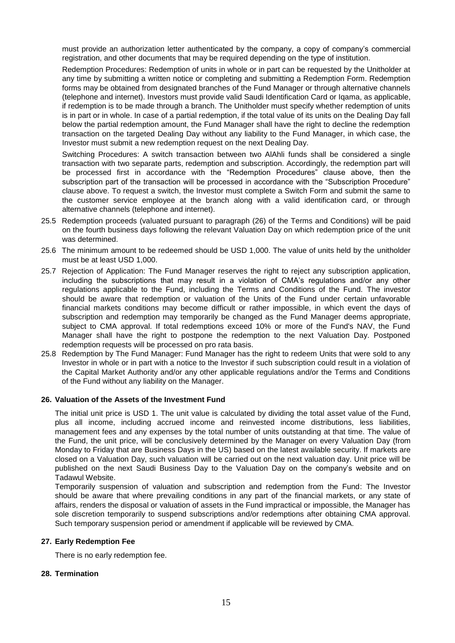must provide an authorization letter authenticated by the company, a copy of company's commercial registration, and other documents that may be required depending on the type of institution.

Redemption Procedures: Redemption of units in whole or in part can be requested by the Unitholder at any time by submitting a written notice or completing and submitting a Redemption Form. Redemption forms may be obtained from designated branches of the Fund Manager or through alternative channels (telephone and internet). Investors must provide valid Saudi Identification Card or Iqama, as applicable, if redemption is to be made through a branch. The Unitholder must specify whether redemption of units is in part or in whole. In case of a partial redemption, if the total value of its units on the Dealing Day fall below the partial redemption amount, the Fund Manager shall have the right to decline the redemption transaction on the targeted Dealing Day without any liability to the Fund Manager, in which case, the Investor must submit a new redemption request on the next Dealing Day.

Switching Procedures: A switch transaction between two AlAhli funds shall be considered a single transaction with two separate parts, redemption and subscription. Accordingly, the redemption part will be processed first in accordance with the "Redemption Procedures" clause above, then the subscription part of the transaction will be processed in accordance with the "Subscription Procedure" clause above. To request a switch, the Investor must complete a Switch Form and submit the same to the customer service employee at the branch along with a valid identification card, or through alternative channels (telephone and internet).

- 25.5 Redemption proceeds (valuated pursuant to paragraph (26) of the Terms and Conditions) will be paid on the fourth business days following the relevant Valuation Day on which redemption price of the unit was determined.
- 25.6 The minimum amount to be redeemed should be USD 1,000. The value of units held by the unitholder must be at least USD 1,000.
- 25.7 Rejection of Application: The Fund Manager reserves the right to reject any subscription application, including the subscriptions that may result in a violation of CMA's regulations and/or any other regulations applicable to the Fund, including the Terms and Conditions of the Fund. The investor should be aware that redemption or valuation of the Units of the Fund under certain unfavorable financial markets conditions may become difficult or rather impossible, in which event the days of subscription and redemption may temporarily be changed as the Fund Manager deems appropriate, subject to CMA approval. If total redemptions exceed 10% or more of the Fund's NAV, the Fund Manager shall have the right to postpone the redemption to the next Valuation Day. Postponed redemption requests will be processed on pro rata basis.
- 25.8 Redemption by The Fund Manager: Fund Manager has the right to redeem Units that were sold to any Investor in whole or in part with a notice to the Investor if such subscription could result in a violation of the Capital Market Authority and/or any other applicable regulations and/or the Terms and Conditions of the Fund without any liability on the Manager.

## **26. Valuation of the Assets of the Investment Fund**

The initial unit price is USD 1. The unit value is calculated by dividing the total asset value of the Fund, plus all income, including accrued income and reinvested income distributions, less liabilities, management fees and any expenses by the total number of units outstanding at that time. The value of the Fund, the unit price, will be conclusively determined by the Manager on every Valuation Day (from Monday to Friday that are Business Days in the US) based on the latest available security. If markets are closed on a Valuation Day, such valuation will be carried out on the next valuation day. Unit price will be published on the next Saudi Business Day to the Valuation Day on the company's website and on Tadawul Website.

Temporarily suspension of valuation and subscription and redemption from the Fund: The Investor should be aware that where prevailing conditions in any part of the financial markets, or any state of affairs, renders the disposal or valuation of assets in the Fund impractical or impossible, the Manager has sole discretion temporarily to suspend subscriptions and/or redemptions after obtaining CMA approval. Such temporary suspension period or amendment if applicable will be reviewed by CMA.

#### **27. Early Redemption Fee**

There is no early redemption fee.

#### **28. Termination**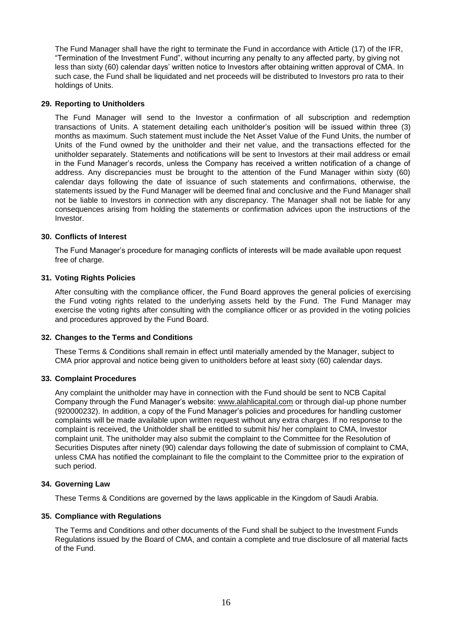The Fund Manager shall have the right to terminate the Fund in accordance with Article (17) of the IFR, "Termination of the Investment Fund", without incurring any penalty to any affected party, by giving not less than sixty (60) calendar days' written notice to Investors after obtaining written approval of CMA. In such case, the Fund shall be liquidated and net proceeds will be distributed to Investors pro rata to their holdings of Units.

#### **29. Reporting to Unitholders**

The Fund Manager will send to the Investor a confirmation of all subscription and redemption transactions of Units. A statement detailing each unitholder's position will be issued within three (3) months as maximum. Such statement must include the Net Asset Value of the Fund Units, the number of Units of the Fund owned by the unitholder and their net value, and the transactions effected for the unitholder separately. Statements and notifications will be sent to Investors at their mail address or email in the Fund Manager's records, unless the Company has received a written notification of a change of address. Any discrepancies must be brought to the attention of the Fund Manager within sixty (60) calendar days following the date of issuance of such statements and confirmations, otherwise, the statements issued by the Fund Manager will be deemed final and conclusive and the Fund Manager shall not be liable to Investors in connection with any discrepancy. The Manager shall not be liable for any consequences arising from holding the statements or confirmation advices upon the instructions of the Investor.

#### **30. Conflicts of Interest**

The Fund Manager's procedure for managing conflicts of interests will be made available upon request free of charge.

#### **31. Voting Rights Policies**

After consulting with the compliance officer, the Fund Board approves the general policies of exercising the Fund voting rights related to the underlying assets held by the Fund. The Fund Manager may exercise the voting rights after consulting with the compliance officer or as provided in the voting policies and procedures approved by the Fund Board.

#### **32. Changes to the Terms and Conditions**

These Terms & Conditions shall remain in effect until materially amended by the Manager, subject to CMA prior approval and notice being given to unitholders before at least sixty (60) calendar days.

#### **33. Complaint Procedures**

Any complaint the unitholder may have in connection with the Fund should be sent to NCB Capital Company through the Fund Manager's website: [www.alahlicapital.com](http://www.ncbc.com/) or through dial-up phone number (920000232). In addition, a copy of the Fund Manager's policies and procedures for handling customer complaints will be made available upon written request without any extra charges. If no response to the complaint is received, the Unitholder shall be entitled to submit his/ her complaint to CMA, Investor complaint unit. The unitholder may also submit the complaint to the Committee for the Resolution of Securities Disputes after ninety (90) calendar days following the date of submission of complaint to CMA, unless CMA has notified the complainant to file the complaint to the Committee prior to the expiration of such period.

#### **34. Governing Law**

These Terms & Conditions are governed by the laws applicable in the Kingdom of Saudi Arabia.

## **35. Compliance with Regulations**

The Terms and Conditions and other documents of the Fund shall be subject to the Investment Funds Regulations issued by the Board of CMA, and contain a complete and true disclosure of all material facts of the Fund.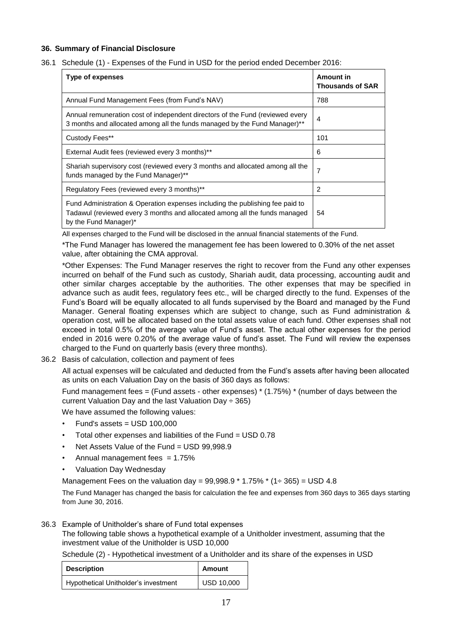## **36. Summary of Financial Disclosure**

36.1 Schedule (1) - Expenses of the Fund in USD for the period ended December 2016:

| Type of expenses                                                                                                                                                                     | Amount in<br><b>Thousands of SAR</b> |  |
|--------------------------------------------------------------------------------------------------------------------------------------------------------------------------------------|--------------------------------------|--|
| Annual Fund Management Fees (from Fund's NAV)                                                                                                                                        | 788                                  |  |
| Annual remuneration cost of independent directors of the Fund (reviewed every<br>3 months and allocated among all the funds managed by the Fund Manager)**                           | 4                                    |  |
| Custody Fees**                                                                                                                                                                       | 101                                  |  |
| External Audit fees (reviewed every 3 months)**                                                                                                                                      | 6                                    |  |
| Shariah supervisory cost (reviewed every 3 months and allocated among all the<br>funds managed by the Fund Manager)**                                                                | 7                                    |  |
| Regulatory Fees (reviewed every 3 months)**                                                                                                                                          | 2                                    |  |
| Fund Administration & Operation expenses including the publishing fee paid to<br>Tadawul (reviewed every 3 months and allocated among all the funds managed<br>by the Fund Manager)* | 54                                   |  |

All expenses charged to the Fund will be disclosed in the annual financial statements of the Fund.

\*The Fund Manager has lowered the management fee has been lowered to 0.30% of the net asset value, after obtaining the CMA approval.

\*Other Expenses: The Fund Manager reserves the right to recover from the Fund any other expenses incurred on behalf of the Fund such as custody, Shariah audit, data processing, accounting audit and other similar charges acceptable by the authorities. The other expenses that may be specified in advance such as audit fees, regulatory fees etc., will be charged directly to the fund. Expenses of the Fund's Board will be equally allocated to all funds supervised by the Board and managed by the Fund Manager. General floating expenses which are subject to change, such as Fund administration & operation cost, will be allocated based on the total assets value of each fund. Other expenses shall not exceed in total 0.5% of the average value of Fund's asset. The actual other expenses for the period ended in 2016 were 0.20% of the average value of fund's asset. The Fund will review the expenses charged to the Fund on quarterly basis (every three months).

36.2 Basis of calculation, collection and payment of fees

All actual expenses will be calculated and deducted from the Fund's assets after having been allocated as units on each Valuation Day on the basis of 360 days as follows:

Fund management fees  $=$  (Fund assets - other expenses)  $*$  (1.75%)  $*$  (number of days between the current Valuation Day and the last Valuation Day  $\div$  365)

We have assumed the following values:

- $Fund's assets = USD 100,000$
- Total other expenses and liabilities of the Fund = USD 0.78
- Net Assets Value of the Fund = USD 99,998.9
- Annual management fees  $= 1.75%$
- Valuation Day Wednesday

Management Fees on the valuation day =  $99,998.9 * 1.75\% * (1 \div 365) =$  USD 4.8

The Fund Manager has changed the basis for calculation the fee and expenses from 360 days to 365 days starting from June 30, 2016.

## 36.3 Example of Unitholder's share of Fund total expenses

The following table shows a hypothetical example of a Unitholder investment, assuming that the investment value of the Unitholder is USD 10,000

Schedule (2) - Hypothetical investment of a Unitholder and its share of the expenses in USD

| <b>Description</b>                   | Amount            |  |  |
|--------------------------------------|-------------------|--|--|
| Hypothetical Unitholder's investment | <b>USD 10,000</b> |  |  |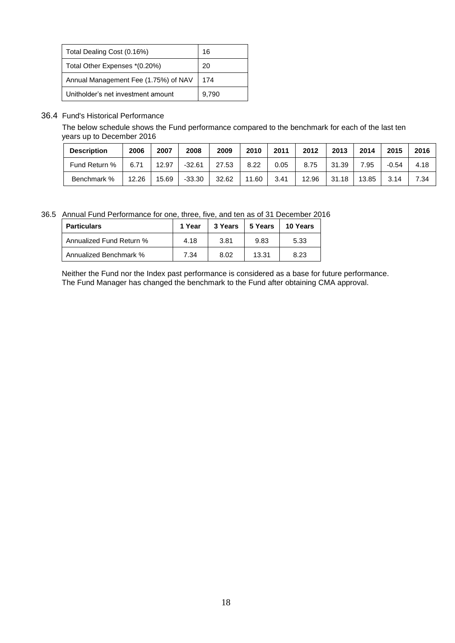| Total Dealing Cost (0.16%)           | 16    |
|--------------------------------------|-------|
| Total Other Expenses *(0.20%)        | 20    |
| Annual Management Fee (1.75%) of NAV | 174   |
| Unitholder's net investment amount   | 9,790 |

# 36.4 Fund's Historical Performance

The below schedule shows the Fund performance compared to the benchmark for each of the last ten years up to December 2016

| <b>Description</b> | 2006  | 2007  | 2008     | 2009  | 2010  | 2011 | 2012  | 2013  | 2014  | 2015    | 2016 |
|--------------------|-------|-------|----------|-------|-------|------|-------|-------|-------|---------|------|
| Fund Return %      | 6.71  | 12.97 | $-32.61$ | 27.53 | 8.22  | 0.05 | 8.75  | 31.39 | 7.95  | $-0.54$ | 4.18 |
| Benchmark %        | 12.26 | 15.69 | $-33.30$ | 32.62 | 11.60 | 3.41 | 12.96 | 31.18 | 13.85 | 3.14    | 7.34 |

36.5 Annual Fund Performance for one, three, five, and ten as of 31 December 2016

| <b>Particulars</b>       | 1 Year | 3 Years | 5 Years | 10 Years |
|--------------------------|--------|---------|---------|----------|
| Annualized Fund Return % | 4.18   | 3.81    | 9.83    | 5.33     |
| Annualized Benchmark %   | 7.34   | 8.02    | 13.31   | 8.23     |

Neither the Fund nor the Index past performance is considered as a base for future performance. The Fund Manager has changed the benchmark to the Fund after obtaining CMA approval.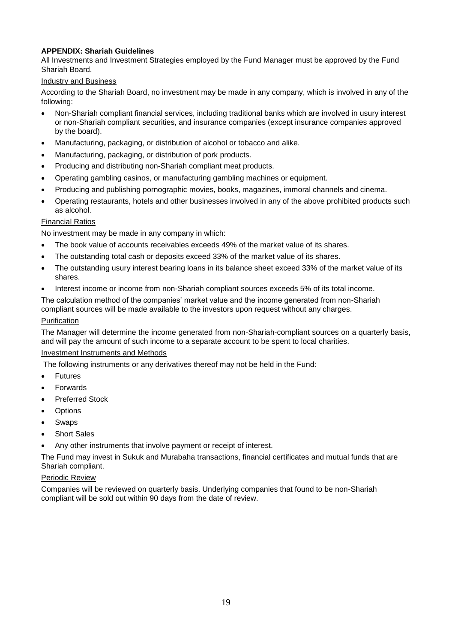# **APPENDIX: Shariah Guidelines**

All Investments and Investment Strategies employed by the Fund Manager must be approved by the Fund Shariah Board.

### Industry and Business

According to the Shariah Board, no investment may be made in any company, which is involved in any of the following:

- Non-Shariah compliant financial services, including traditional banks which are involved in usury interest or non-Shariah compliant securities, and insurance companies (except insurance companies approved by the board).
- Manufacturing, packaging, or distribution of alcohol or tobacco and alike.
- Manufacturing, packaging, or distribution of pork products.
- Producing and distributing non-Shariah compliant meat products.
- Operating gambling casinos, or manufacturing gambling machines or equipment.
- Producing and publishing pornographic movies, books, magazines, immoral channels and cinema.
- Operating restaurants, hotels and other businesses involved in any of the above prohibited products such as alcohol.

## Financial Ratios

No investment may be made in any company in which:

- The book value of accounts receivables exceeds 49% of the market value of its shares.
- The outstanding total cash or deposits exceed 33% of the market value of its shares.
- The outstanding usury interest bearing loans in its balance sheet exceed 33% of the market value of its shares.
- Interest income or income from non-Shariah compliant sources exceeds 5% of its total income.

The calculation method of the companies' market value and the income generated from non-Shariah compliant sources will be made available to the investors upon request without any charges. Purification

The Manager will determine the income generated from non-Shariah-compliant sources on a quarterly basis, and will pay the amount of such income to a separate account to be spent to local charities.

#### Investment Instruments and Methods

The following instruments or any derivatives thereof may not be held in the Fund:

- Futures
- Forwards
- Preferred Stock
- Options
- Swaps
- Short Sales
- Any other instruments that involve payment or receipt of interest.

The Fund may invest in Sukuk and Murabaha transactions, financial certificates and mutual funds that are Shariah compliant.

## Periodic Review

Companies will be reviewed on quarterly basis. Underlying companies that found to be non-Shariah compliant will be sold out within 90 days from the date of review.